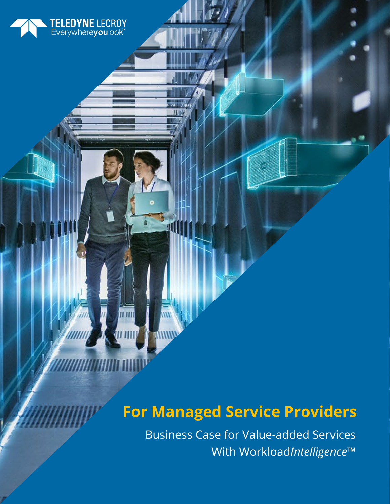# TELEDYNE LECROY<br>Everywhereyoulook"

## **For Managed Service Providers**

Business Case for Value-added Services With Workload*Intelligence*™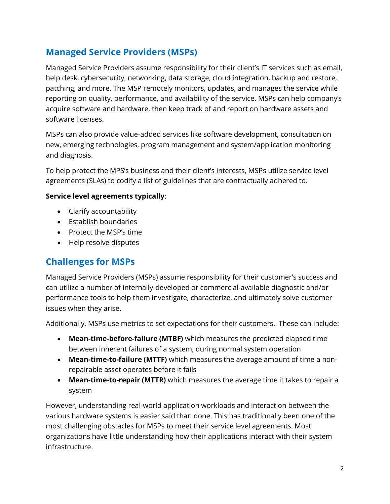## **Managed Service Providers (MSPs)**

Managed Service Providers assume responsibility for their client's IT services such as email, help desk, cybersecurity, networking, data storage, cloud integration, backup and restore, patching, and more. The MSP remotely monitors, updates, and manages the service while reporting on quality, performance, and availability of the service. MSPs can help company's acquire software and hardware, then keep track of and report on hardware assets and software licenses.

MSPs can also provide value-added services like software development, consultation on new, emerging technologies, program management and system/application monitoring and diagnosis.

To help protect the MPS's business and their client's interests, MSPs utilize service level agreements (SLAs) to codify a list of guidelines that are contractually adhered to.

#### **Service level agreements typically**:

- Clarify accountability
- Establish boundaries
- Protect the MSP's time
- Help resolve disputes

## **Challenges for MSPs**

Managed Service Providers (MSPs) assume responsibility for their customer's success and can utilize a number of internally-developed or commercial-available diagnostic and/or performance tools to help them investigate, characterize, and ultimately solve customer issues when they arise.

Additionally, MSPs use metrics to set expectations for their customers. These can include:

- **Mean-time-before-failure (MTBF)** which measures the predicted elapsed time between inherent failures of a system, during normal system operation
- **Mean-time-to-failure (MTTF)** which measures the average amount of time a nonrepairable asset operates before it fails
- **Mean-time-to-repair (MTTR)** which measures the average time it takes to repair a system

However, understanding real-world application workloads and interaction between the various hardware systems is easier said than done. This has traditionally been one of the most challenging obstacles for MSPs to meet their service level agreements. Most organizations have little understanding how their applications interact with their system infrastructure.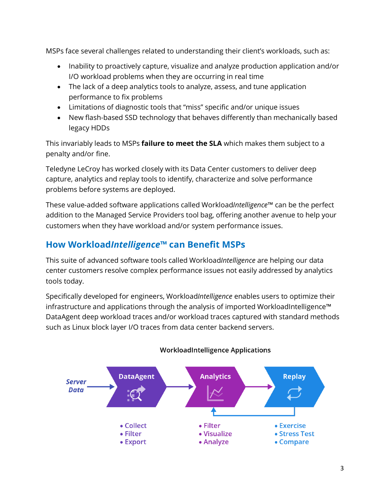MSPs face several challenges related to understanding their client's workloads, such as:

- Inability to proactively capture, visualize and analyze production application and/or I/O workload problems when they are occurring in real time
- The lack of a deep analytics tools to analyze, assess, and tune application performance to fix problems
- Limitations of diagnostic tools that "miss" specific and/or unique issues
- New flash-based SSD technology that behaves differently than mechanically based legacy HDDs

This invariably leads to MSPs **failure to meet the SLA** which makes them subject to a penalty and/or fine.

Teledyne LeCroy has worked closely with its Data Center customers to deliver deep capture, analytics and replay tools to identify, characterize and solve performance problems before systems are deployed.

These value-added software applications called Workload*Intelligence*™ can be the perfect addition to the Managed Service Providers tool bag, offering another avenue to help your customers when they have workload and/or system performance issues.

## **How Workload***Intelligence***™ can Benefit MSPs**

This suite of advanced software tools called Workload*Intelligence* are helping our data center customers resolve complex performance issues not easily addressed by analytics tools today.

Specifically developed for engineers, Workload*Intelligence* enables users to optimize their infrastructure and applications through the analysis of imported WorkloadIntelligence™ DataAgent deep workload traces and/or workload traces captured with standard methods such as Linux block layer I/O traces from data center backend servers.



#### **WorkloadIntelligence Applications**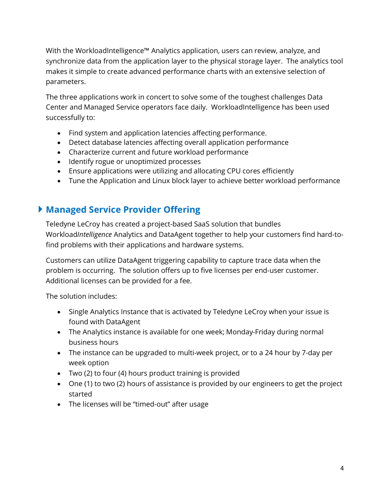With the WorkloadIntelligence™ Analytics application, users can review, analyze, and synchronize data from the application layer to the physical storage layer. The analytics tool makes it simple to create advanced performance charts with an extensive selection of parameters.

The three applications work in concert to solve some of the toughest challenges Data Center and Managed Service operators face daily. WorkloadIntelligence has been used successfully to:

- Find system and application latencies affecting performance.
- Detect database latencies affecting overall application performance
- Characterize current and future workload performance
- Identify rogue or unoptimized processes
- Ensure applications were utilizing and allocating CPU cores efficiently
- Tune the Application and Linux block layer to achieve better workload performance

## **Managed Service Provider Offering**

Teledyne LeCroy has created a project-based SaaS solution that bundles Workload*Intelligence* Analytics and DataAgent together to help your customers find hard-tofind problems with their applications and hardware systems.

Customers can utilize DataAgent triggering capability to capture trace data when the problem is occurring. The solution offers up to five licenses per end-user customer. Additional licenses can be provided for a fee.

The solution includes:

- Single Analytics Instance that is activated by Teledyne LeCroy when your issue is found with DataAgent
- The Analytics instance is available for one week; Monday-Friday during normal business hours
- The instance can be upgraded to multi-week project, or to a 24 hour by 7-day per week option
- Two (2) to four (4) hours product training is provided
- One (1) to two (2) hours of assistance is provided by our engineers to get the project started
- The licenses will be "timed-out" after usage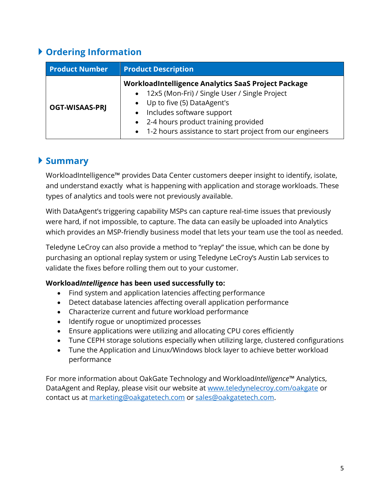## **Ordering Information**

| <b>Product Number</b> | <b>Product Description</b>                                                                                                                                                                                                                                                            |
|-----------------------|---------------------------------------------------------------------------------------------------------------------------------------------------------------------------------------------------------------------------------------------------------------------------------------|
| <b>OGT-WISAAS-PRJ</b> | WorkloadIntelligence Analytics SaaS Project Package<br>• 12x5 (Mon-Fri) / Single User / Single Project<br>Up to five (5) DataAgent's<br>Includes software support<br>$\bullet$<br>• 2-4 hours product training provided<br>• 1-2 hours assistance to start project from our engineers |

### **Summary**

WorkloadIntelligence™ provides Data Center customers deeper insight to identify, isolate, and understand exactly what is happening with application and storage workloads. These types of analytics and tools were not previously available.

With DataAgent's triggering capability MSPs can capture real-time issues that previously were hard, if not impossible, to capture. The data can easily be uploaded into Analytics which provides an MSP-friendly business model that lets your team use the tool as needed.

Teledyne LeCroy can also provide a method to "replay" the issue, which can be done by purchasing an optional replay system or using Teledyne LeCroy's Austin Lab services to validate the fixes before rolling them out to your customer.

#### **Workload***Intelligence* **has been used successfully to:**

- Find system and application latencies affecting performance
- Detect database latencies affecting overall application performance
- Characterize current and future workload performance
- Identify rogue or unoptimized processes
- Ensure applications were utilizing and allocating CPU cores efficiently
- Tune CEPH storage solutions especially when utilizing large, clustered configurations
- Tune the Application and Linux/Windows block layer to achieve better workload performance

For more information about OakGate Technology and Workload*Intelligence*™ Analytics, DataAgent and Replay, please visit our website at [www.teledynelecroy.com/oakgate](http://www.teledynelecroy.com/oakgate) or contact us at [marketing@oakgatetech.com](mailto:marketing@oakgatetech.com) or [sales@oakgatetech.com.](mailto:sales@oakgatetech.com)